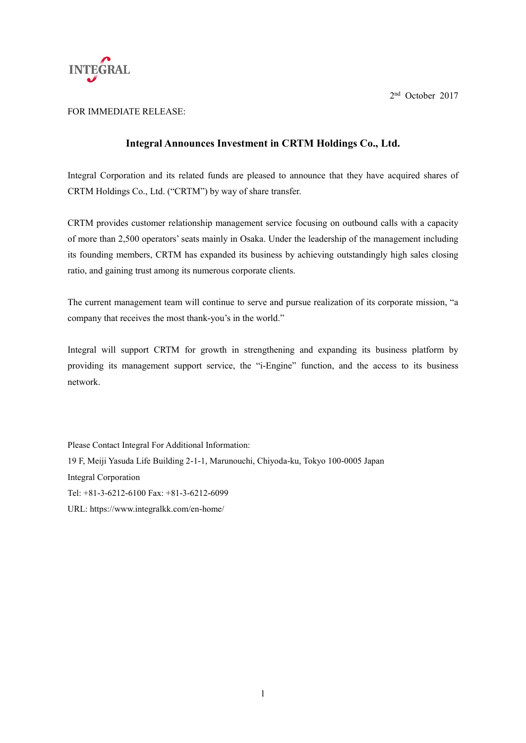

2 nd October 2017

## FOR IMMEDIATE RELEASE:

## **Integral Announces Investment in CRTM Holdings Co., Ltd.**

Integral Corporation and its related funds are pleased to announce that they have acquired shares of CRTM Holdings Co., Ltd. ("CRTM") by way of share transfer.

CRTM provides customer relationship management service focusing on outbound calls with a capacity of more than 2,500 operators' seats mainly in Osaka. Under the leadership of the management including its founding members, CRTM has expanded its business by achieving outstandingly high sales closing ratio, and gaining trust among its numerous corporate clients.

The current management team will continue to serve and pursue realization of its corporate mission, "a company that receives the most thank-you's in the world."

Integral will support CRTM for growth in strengthening and expanding its business platform by providing its management support service, the "i-Engine" function, and the access to its business network.

Please Contact Integral For Additional Information: 19 F, Meiji Yasuda Life Building 2-1-1, Marunouchi, Chiyoda-ku, Tokyo 100-0005 Japan Integral Corporation Tel: +81-3-6212-6100 Fax: +81-3-6212-6099 URL: https://www.integralkk.com/en-home/